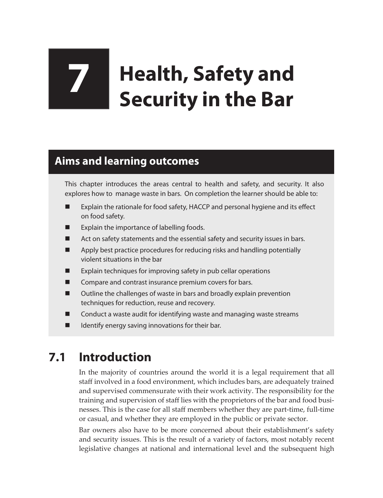# **7 Health, Safety and Security in the Bar**

## **Aims and learning outcomes**

This chapter introduces the areas central to health and safety, and security. It also explores how to manage waste in bars. On completion the learner should be able to:

- Explain the rationale for food safety, HACCP and personal hygiene and its effect on food safety.
- $\blacksquare$  Explain the importance of labelling foods.
- Act on safety statements and the essential safety and security issues in bars.
- **Apply best practice procedures for reducing risks and handling potentially** violent situations in the bar
- Explain techniques for improving safety in pub cellar operations
- **EXECOMPARE 2018 COMPARE AND COMPARE AND COMPARE INCOCO EXECUTE**
- $\blacksquare$  Outline the challenges of waste in bars and broadly explain prevention techniques for reduction, reuse and recovery.
- **E** Conduct a waste audit for identifying waste and managing waste streams
- $\blacksquare$  Identify energy saving innovations for their bar.

## **7.1 Introduction**

In the majority of countries around the world it is a legal requirement that all staff involved in a food environment, which includes bars, are adequately trained and supervised commensurate with their work activity. The responsibility for the training and supervision of staff lies with the proprietors of the bar and food businesses. This is the case for all staff members whether they are part-time, full-time or casual, and whether they are employed in the public or private sector.

Bar owners also have to be more concerned about their establishment's safety and security issues. This is the result of a variety of factors, most notably recent legislative changes at national and international level and the subsequent high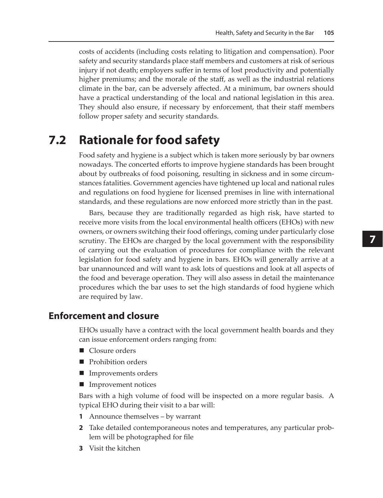costs of accidents (including costs relating to litigation and compensation). Poor safety and security standards place staff members and customers at risk of serious injury if not death; employers suffer in terms of lost productivity and potentially higher premiums; and the morale of the staff, as well as the industrial relations climate in the bar, can be adversely affected. At a minimum, bar owners should have a practical understanding of the local and national legislation in this area. They should also ensure, if necessary by enforcement, that their staff members follow proper safety and security standards.

### **7.2 Rationale for food safety**

Food safety and hygiene is a subject which is taken more seriously by bar owners nowadays. The concerted efforts to improve hygiene standards has been brought about by outbreaks of food poisoning, resulting in sickness and in some circumstances fatalities. Government agencies have tightened up local and national rules and regulations on food hygiene for licensed premises in line with international standards, and these regulations are now enforced more strictly than in the past.

Bars, because they are traditionally regarded as high risk, have started to receive more visits from the local environmental health officers (EHOs) with new owners, or owners switching their food offerings, coming under particularly close scrutiny. The EHOs are charged by the local government with the responsibility of carrying out the evaluation of procedures for compliance with the relevant legislation for food safety and hygiene in bars. EHOs will generally arrive at a bar unannounced and will want to ask lots of questions and look at all aspects of the food and beverage operation. They will also assess in detail the maintenance procedures which the bar uses to set the high standards of food hygiene which are required by law.

#### **Enforcement and closure**

EHOs usually have a contract with the local government health boards and they can issue enforcement orders ranging from:

- Closure orders
- Prohibition orders
- Improvements orders
- **Improvement notices**

Bars with a high volume of food will be inspected on a more regular basis. A typical EHO during their visit to a bar will:

- **1** Announce themselves by warrant
- **2** Take detailed contemporaneous notes and temperatures, any particular problem will be photographed for file
- **3** Visit the kitchen